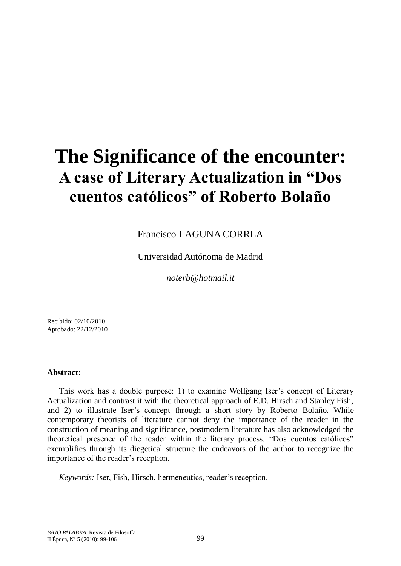# **The Significance of the encounter: A case of Literary Actualization in "Dos cuentos católicos" of Roberto Bolaño**

Francisco LAGUNA CORREA

Universidad Autónoma de Madrid

*noterb@hotmail.it*

Recibido: 02/10/2010 Aprobado: 22/12/2010

## **Abstract:**

This work has a double purpose: 1) to examine Wolfgang Iser's concept of Literary Actualization and contrast it with the theoretical approach of E.D. Hirsch and Stanley Fish, and 2) to illustrate Iser"s concept through a short story by Roberto Bolaño. While contemporary theorists of literature cannot deny the importance of the reader in the construction of meaning and significance, postmodern literature has also acknowledged the theoretical presence of the reader within the literary process. "Dos cuentos católicos" exemplifies through its diegetical structure the endeavors of the author to recognize the importance of the reader's reception.

*Keywords:* Iser, Fish, Hirsch, hermeneutics, reader's reception.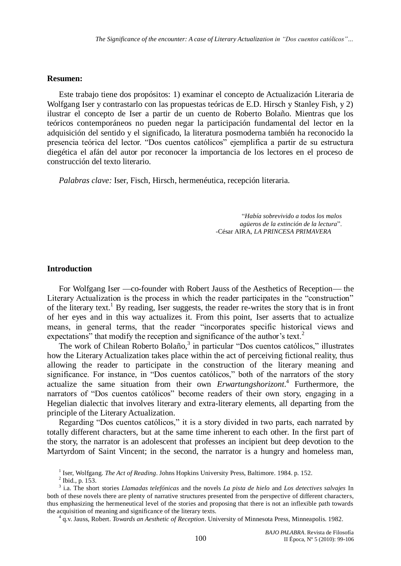#### **Resumen:**

Este trabajo tiene dos propósitos: 1) examinar el concepto de Actualización Literaria de Wolfgang Iser y contrastarlo con las propuestas teóricas de E.D. Hirsch y Stanley Fish, y 2) ilustrar el concepto de Iser a partir de un cuento de Roberto Bolaño. Mientras que los teóricos contemporáneos no pueden negar la participación fundamental del lector en la adquisición del sentido y el significado, la literatura posmoderna también ha reconocido la presencia teórica del lector. "Dos cuentos católicos" ejemplifica a partir de su estructura diegética el afán del autor por reconocer la importancia de los lectores en el proceso de construcción del texto literario.

*Palabras clave:* Iser, Fisch, Hirsch, hermenéutica, recepción literaria*.* 

"*Había sobrevivido a todos los malos agüeros de la extinción de la lectura*". -César AIRA, *LA PRINCESA PRIMAVERA*

#### **Introduction**

For Wolfgang Iser —co-founder with Robert Jauss of the Aesthetics of Reception— the Literary Actualization is the process in which the reader participates in the "construction" of the literary text.<sup>1</sup> By reading, Iser suggests, the reader re-writes the story that is in front of her eyes and in this way actualizes it. From this point, Iser asserts that to actualize means, in general terms, that the reader "incorporates specific historical views and expectations" that modify the reception and significance of the author's text.<sup>2</sup>

The work of Chilean Roberto Bolaño,<sup>3</sup> in particular "Dos cuentos católicos," illustrates how the Literary Actualization takes place within the act of perceiving fictional reality, thus allowing the reader to participate in the construction of the literary meaning and significance. For instance, in "Dos cuentos católicos," both of the narrators of the story actualize the same situation from their own *Erwartungshorizont*. 4 Furthermore, the narrators of "Dos cuentos católicos" become readers of their own story, engaging in a Hegelian dialectic that involves literary and extra-literary elements, all departing from the principle of the Literary Actualization.

Regarding "Dos cuentos católicos," it is a story divided in two parts, each narrated by totally different characters, but at the same time inherent to each other. In the first part of the story, the narrator is an adolescent that professes an incipient but deep devotion to the Martyrdom of Saint Vincent; in the second, the narrator is a hungry and homeless man,

4 q.v. Jauss, Robert. *Towards an Aesthetic of Reception*. University of Minnesota Press, Minneapolis. 1982.

<sup>&</sup>lt;sup>1</sup> Iser, Wolfgang. *The Act of Reading*. Johns Hopkins University Press, Baltimore. 1984. p. 152.

 $^{2}$  Ibid., p. 153.

<sup>3</sup> i.a. The short stories *Llamadas telefónicas* and the novels *La pista de hielo* and *Los detectives salvajes* In both of these novels there are plenty of narrative structures presented from the perspective of different characters, thus emphasizing the hermeneutical level of the stories and proposing that there is not an inflexible path towards the acquisition of meaning and significance of the literary texts.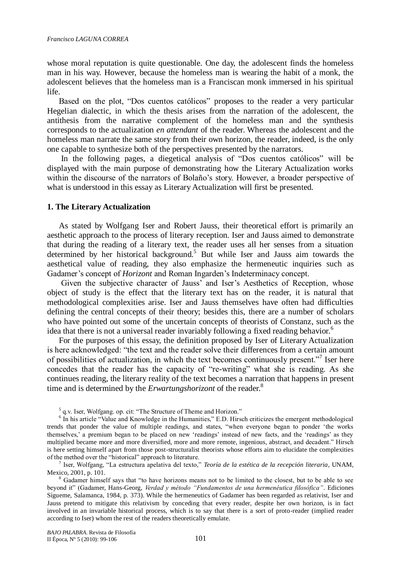whose moral reputation is quite questionable. One day, the adolescent finds the homeless man in his way. However, because the homeless man is wearing the habit of a monk, the adolescent believes that the homeless man is a Franciscan monk immersed in his spiritual life.

Based on the plot, "Dos cuentos católicos" proposes to the reader a very particular Hegelian dialectic, in which the thesis arises from the narration of the adolescent, the antithesis from the narrative complement of the homeless man and the synthesis corresponds to the actualization *en attendant* of the reader. Whereas the adolescent and the homeless man narrate the same story from their own horizon, the reader, indeed, is the only one capable to synthesize both of the perspectives presented by the narrators.

In the following pages, a diegetical analysis of "Dos cuentos católicos" will be displayed with the main purpose of demonstrating how the Literary Actualization works within the discourse of the narrators of Bolaño's story. However, a broader perspective of what is understood in this essay as Literary Actualization will first be presented.

## **1. The Literary Actualization**

As stated by Wolfgang Iser and Robert Jauss, their theoretical effort is primarily an aesthetic approach to the process of literary reception. Iser and Jauss aimed to demonstrate that during the reading of a literary text, the reader uses all her senses from a situation determined by her historical background.<sup>5</sup> But while Iser and Jauss aim towards the aesthetical value of reading, they also emphasize the hermeneutic inquiries such as Gadamer's concept of *Horizont* and Roman Ingarden's Indeterminacy concept.

Given the subjective character of Jauss" and Iser"s Aesthetics of Reception, whose object of study is the effect that the literary text has on the reader, it is natural that methodological complexities arise. Iser and Jauss themselves have often had difficulties defining the central concepts of their theory; besides this, there are a number of scholars who have pointed out some of the uncertain concepts of theorists of Constanz, such as the idea that there is not a universal reader invariably following a fixed reading behavior.<sup>6</sup>

For the purposes of this essay, the definition proposed by Iser of Literary Actualization is here acknowledged: "the text and the reader solve their differences from a certain amount of possibilities of actualization, in which the text becomes continuously present."<sup>7</sup> Iser here concedes that the reader has the capacity of "re-writing" what she is reading. As she continues reading, the literary reality of the text becomes a narration that happens in present time and is determined by the *Erwartungshorizont* of the reader.<sup>8</sup>

5 q.v. Iser, Wolfgang. op. cit: "The Structure of Theme and Horizon."

7 Iser, Wolfgang, "La estructura apelativa del texto," *Teoría de la estética de la recepción literaria*, UNAM, Mexico, 2001, p. 101.

<sup>8</sup> Gadamer himself says that "to have horizons means not to be limited to the closest, but to be able to see beyond it" (Gadamer, Hans-Georg, *Verdad y método "Fundamentos de una hermenéutica filosófica"*. Ediciones Sígueme, Salamanca, 1984, p. 373). While the hermeneutics of Gadamer has been regarded as relativist, Iser and Jauss pretend to mitigate this relativism by conceding that every reader, despite her own horizon, is in fact involved in an invariable historical process, which is to say that there is a sort of proto-reader (implied reader according to Iser) whom the rest of the readers theoretically emulate.

<sup>&</sup>lt;sup>6</sup> In his article "Value and Knowledge in the Humanities," E.D. Hirsch criticizes the emergent methodological trends that ponder the value of multiple readings, and states, "when everyone began to ponder "the works themselves," a premium began to be placed on new "readings" instead of new facts, and the "readings" as they multiplied became more and more diversified, more and more remote, ingenious, abstract, and decadent." Hirsch is here setting himself apart from those post-structuralist theorists whose efforts aim to elucidate the complexities of the method over the "historical" approach to literature.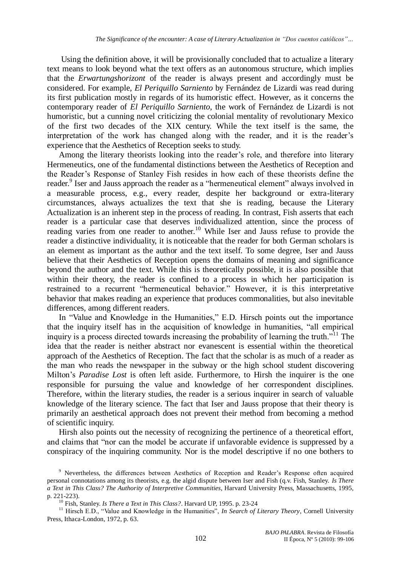Using the definition above, it will be provisionally concluded that to actualize a literary text means to look beyond what the text offers as an autonomous structure, which implies that the *Erwartungshorizont* of the reader is always present and accordingly must be considered. For example, *El Periquillo Sarniento* by Fernández de Lizardi was read during its first publication mostly in regards of its humoristic effect. However, as it concerns the contemporary reader of *El Periquillo Sarniento*, the work of Fernández de Lizardi is not humoristic, but a cunning novel criticizing the colonial mentality of revolutionary Mexico of the first two decades of the XIX century. While the text itself is the same, the interpretation of the work has changed along with the reader, and it is the reader"s experience that the Aesthetics of Reception seeks to study.

Among the literary theorists looking into the reader's role, and therefore into literary Hermeneutics, one of the fundamental distinctions between the Aesthetics of Reception and the Reader"s Response of Stanley Fish resides in how each of these theorists define the reader.<sup>9</sup> Iser and Jauss approach the reader as a "hermeneutical element" always involved in a measurable process, e.g., every reader, despite her background or extra-literary circumstances, always actualizes the text that she is reading, because the Literary Actualization is an inherent step in the process of reading. In contrast, Fish asserts that each reader is a particular case that deserves individualized attention, since the process of reading varies from one reader to another.<sup>10</sup> While Iser and Jauss refuse to provide the reader a distinctive individuality, it is noticeable that the reader for both German scholars is an element as important as the author and the text itself. To some degree, Iser and Jauss believe that their Aesthetics of Reception opens the domains of meaning and significance beyond the author and the text. While this is theoretically possible, it is also possible that within their theory, the reader is confined to a process in which her participation is restrained to a recurrent "hermeneutical behavior." However, it is this interpretative behavior that makes reading an experience that produces commonalities, but also inevitable differences, among different readers.

In "Value and Knowledge in the Humanities," E.D. Hirsch points out the importance that the inquiry itself has in the acquisition of knowledge in humanities, "all empirical inquiry is a process directed towards increasing the probability of learning the truth."<sup>11</sup> The idea that the reader is neither abstract nor evanescent is essential within the theoretical approach of the Aesthetics of Reception. The fact that the scholar is as much of a reader as the man who reads the newspaper in the subway or the high school student discovering Milton"s *Paradise Lost* is often left aside. Furthermore, to Hirsh the inquirer is the one responsible for pursuing the value and knowledge of her correspondent disciplines. Therefore, within the literary studies, the reader is a serious inquirer in search of valuable knowledge of the literary science. The fact that Iser and Jauss propose that their theory is primarily an aesthetical approach does not prevent their method from becoming a method of scientific inquiry.

Hirsh also points out the necessity of recognizing the pertinence of a theoretical effort, and claims that "nor can the model be accurate if unfavorable evidence is suppressed by a conspiracy of the inquiring community. Nor is the model descriptive if no one bothers to

<sup>&</sup>lt;sup>9</sup> Nevertheless, the differences between Aesthetics of Reception and Reader's Response often acquired personal connotations among its theorists, e.g. the algid dispute between Iser and Fish (q.v. Fish, Stanley. *Is There a Text in This Class? The Authority of Interpretive Communities*, Harvard University Press, Massachusetts, 1995, p. 221-223).

<sup>10</sup> Fish, Stanley. *Is There a Text in This Class?*. Harvard UP, 1995. p. 23-24

<sup>&</sup>lt;sup>11</sup> Hirsch E.D., "Value and Knowledge in the Humanities", *In Search of Literary Theory*, Cornell University Press, Ithaca-London, 1972, p. 63.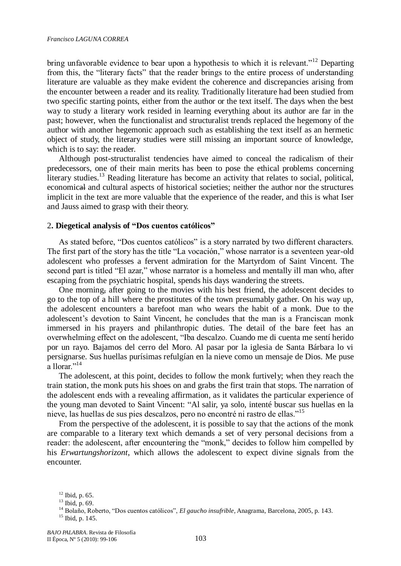bring unfavorable evidence to bear upon a hypothesis to which it is relevant."<sup>12</sup> Departing from this, the "literary facts" that the reader brings to the entire process of understanding literature are valuable as they make evident the coherence and discrepancies arising from the encounter between a reader and its reality. Traditionally literature had been studied from two specific starting points, either from the author or the text itself. The days when the best way to study a literary work resided in learning everything about its author are far in the past; however, when the functionalist and structuralist trends replaced the hegemony of the author with another hegemonic approach such as establishing the text itself as an hermetic object of study, the literary studies were still missing an important source of knowledge, which is to say: the reader.

Although post-structuralist tendencies have aimed to conceal the radicalism of their predecessors, one of their main merits has been to pose the ethical problems concerning literary studies.<sup>13</sup> Reading literature has become an activity that relates to social, political, economical and cultural aspects of historical societies; neither the author nor the structures implicit in the text are more valuable that the experience of the reader, and this is what Iser and Jauss aimed to grasp with their theory.

## 2**. Diegetical analysis of "Dos cuentos católicos"**

As stated before, "Dos cuentos católicos" is a story narrated by two different characters. The first part of the story has the title "La vocación," whose narrator is a seventeen year-old adolescent who professes a fervent admiration for the Martyrdom of Saint Vincent. The second part is titled "El azar," whose narrator is a homeless and mentally ill man who, after escaping from the psychiatric hospital, spends his days wandering the streets.

One morning, after going to the movies with his best friend, the adolescent decides to go to the top of a hill where the prostitutes of the town presumably gather. On his way up, the adolescent encounters a barefoot man who wears the habit of a monk. Due to the adolescent"s devotion to Saint Vincent, he concludes that the man is a Franciscan monk immersed in his prayers and philanthropic duties. The detail of the bare feet has an overwhelming effect on the adolescent, "Iba descalzo. Cuando me di cuenta me sentí herido por un rayo. Bajamos del cerro del Moro. Al pasar por la iglesia de Santa Bárbara lo vi persignarse. Sus huellas purísimas refulgían en la nieve como un mensaje de Dios. Me puse a llorar $^{14}$ 

The adolescent, at this point, decides to follow the monk furtively; when they reach the train station, the monk puts his shoes on and grabs the first train that stops. The narration of the adolescent ends with a revealing affirmation, as it validates the particular experience of the young man devoted to Saint Vincent: "Al salir, ya solo, intenté buscar sus huellas en la nieve, las huellas de sus pies descalzos, pero no encontré ni rastro de ellas."<sup>15</sup>

From the perspective of the adolescent, it is possible to say that the actions of the monk are comparable to a literary text which demands a set of very personal decisions from a reader: the adolescent, after encountering the "monk," decides to follow him compelled by his *Erwartungshorizont*, which allows the adolescent to expect divine signals from the encounter.

 $12$  Ibid, p. 65.

<sup>13</sup> Ibid, p. 69.

<sup>14</sup> Bolaño, Roberto, "Dos cuentos católicos", *El gaucho insufrible*, Anagrama, Barcelona, 2005, p. 143.

<sup>15</sup> Ibid, p. 145.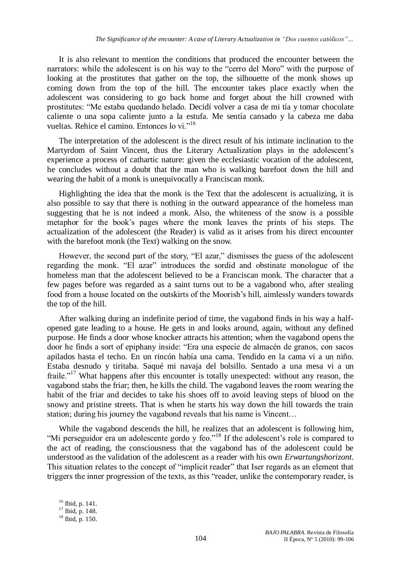It is also relevant to mention the conditions that produced the encounter between the narrators: while the adolescent is on his way to the "cerro del Moro" with the purpose of looking at the prostitutes that gather on the top, the silhouette of the monk shows up coming down from the top of the hill. The encounter takes place exactly when the adolescent was considering to go back home and forget about the hill crowned with prostitutes: "Me estaba quedando helado. Decidí volver a casa de mi tía y tomar chocolate caliente o una sopa caliente junto a la estufa. Me sentía cansado y la cabeza me daba vueltas. Rehice el camino. Entonces lo vi."<sup>16</sup>

The interpretation of the adolescent is the direct result of his intimate inclination to the Martyrdom of Saint Vincent, thus the Literary Actualization plays in the adolescent"s experience a process of cathartic nature: given the ecclesiastic vocation of the adolescent, he concludes without a doubt that the man who is walking barefoot down the hill and wearing the habit of a monk is unequivocally a Franciscan monk.

Highlighting the idea that the monk is the Text that the adolescent is actualizing, it is also possible to say that there is nothing in the outward appearance of the homeless man suggesting that he is not indeed a monk. Also, the whiteness of the snow is a possible metaphor for the book"s pages where the monk leaves the prints of his steps. The actualization of the adolescent (the Reader) is valid as it arises from his direct encounter with the barefoot monk (the Text) walking on the snow.

However, the second part of the story, "El azar," dismisses the guess of the adolescent regarding the monk. "El azar" introduces the sordid and obstinate monologue of the homeless man that the adolescent believed to be a Franciscan monk. The character that a few pages before was regarded as a saint turns out to be a vagabond who, after stealing food from a house located on the outskirts of the Moorish's hill, aimlessly wanders towards the top of the hill.

After walking during an indefinite period of time, the vagabond finds in his way a halfopened gate leading to a house. He gets in and looks around, again, without any defined purpose. He finds a door whose knocker attracts his attention; when the vagabond opens the door he finds a sort of epiphany inside: "Era una especie de almacén de granos, con sacos apilados hasta el techo. En un rincón había una cama. Tendido en la cama vi a un niño. Estaba desnudo y tiritaba. Saqué mi navaja del bolsillo. Sentado a una mesa vi a un fraile."<sup>17</sup> What happens after this encounter is totally unexpected: without any reason, the vagabond stabs the friar; then, he kills the child. The vagabond leaves the room wearing the habit of the friar and decides to take his shoes off to avoid leaving steps of blood on the snowy and pristine streets. That is when he starts his way down the hill towards the train station; during his journey the vagabond reveals that his name is Vincent…

While the vagabond descends the hill, he realizes that an adolescent is following him, "Mi perseguidor era un adolescente gordo y feo."<sup>18</sup> If the adolescent's role is compared to the act of reading, the consciousness that the vagabond has of the adolescent could be understood as the validation of the adolescent as a reader with his own *Erwartungshorizont*. This situation relates to the concept of "implicit reader" that Iser regards as an element that triggers the inner progression of the texts, as this "reader, unlike the contemporary reader, is

<sup>16</sup> Ibid, p. 141.  $17$  Ibid, p. 148.  $18$  Ibid, p. 150.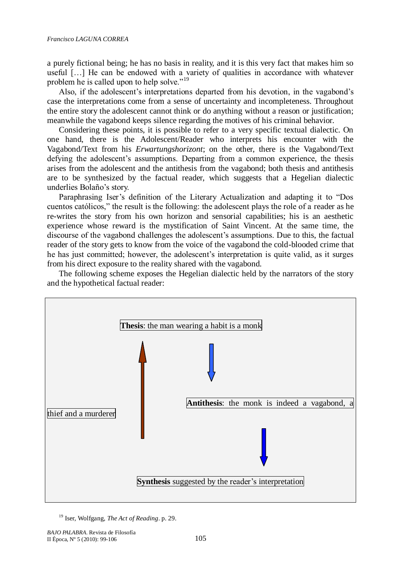a purely fictional being; he has no basis in reality, and it is this very fact that makes him so useful […] He can be endowed with a variety of qualities in accordance with whatever problem he is called upon to help solve."<sup>19</sup>

Also, if the adolescent's interpretations departed from his devotion, in the vagabond's case the interpretations come from a sense of uncertainty and incompleteness. Throughout the entire story the adolescent cannot think or do anything without a reason or justification; meanwhile the vagabond keeps silence regarding the motives of his criminal behavior.

Considering these points, it is possible to refer to a very specific textual dialectic. On one hand, there is the Adolescent/Reader who interprets his encounter with the Vagabond/Text from his *Erwartungshorizont*; on the other, there is the Vagabond/Text defying the adolescent's assumptions. Departing from a common experience, the thesis arises from the adolescent and the antithesis from the vagabond; both thesis and antithesis are to be synthesized by the factual reader, which suggests that a Hegelian dialectic underlies Bolaño"s story.

Paraphrasing Iser"s definition of the Literary Actualization and adapting it to "Dos cuentos católicos," the result is the following: the adolescent plays the role of a reader as he re-writes the story from his own horizon and sensorial capabilities; his is an aesthetic experience whose reward is the mystification of Saint Vincent. At the same time, the discourse of the vagabond challenges the adolescent"s assumptions. Due to this, the factual reader of the story gets to know from the voice of the vagabond the cold-blooded crime that he has just committed; however, the adolescent"s interpretation is quite valid, as it surges from his direct exposure to the reality shared with the vagabond.

The following scheme exposes the Hegelian dialectic held by the narrators of the story and the hypothetical factual reader:



<sup>19</sup> Iser, Wolfgang, *The Act of Reading*. p. 29.